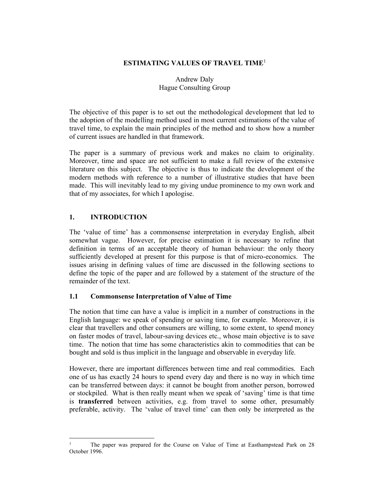#### ESTIMATING VALUES OF TRAVEL TIME<sup>1</sup>

### Andrew Daly Hague Consulting Group

The objective of this paper is to set out the methodological development that led to the adoption of the modelling method used in most current estimations of the value of travel time, to explain the main principles of the method and to show how a number of current issues are handled in that framework.

The paper is a summary of previous work and makes no claim to originality. Moreover, time and space are not sufficient to make a full review of the extensive literature on this subject. The objective is thus to indicate the development of the modern methods with reference to a number of illustrative studies that have been made. This will inevitably lead to my giving undue prominence to my own work and that of my associates, for which I apologise.

### 1. INTRODUCTION

The 'value of time' has a commonsense interpretation in everyday English, albeit somewhat vague. However, for precise estimation it is necessary to refine that definition in terms of an acceptable theory of human behaviour: the only theory sufficiently developed at present for this purpose is that of micro-economics. The issues arising in defining values of time are discussed in the following sections to define the topic of the paper and are followed by a statement of the structure of the remainder of the text.

#### 1.1 Commonsense Interpretation of Value of Time

The notion that time can have a value is implicit in a number of constructions in the English language: we speak of spending or saving time, for example. Moreover, it is clear that travellers and other consumers are willing, to some extent, to spend money on faster modes of travel, labour-saving devices etc., whose main objective is to save time. The notion that time has some characteristics akin to commodities that can be bought and sold is thus implicit in the language and observable in everyday life.

However, there are important differences between time and real commodities. Each one of us has exactly 24 hours to spend every day and there is no way in which time can be transferred between days: it cannot be bought from another person, borrowed or stockpiled. What is then really meant when we speak of 'saving' time is that time is transferred between activities, e.g. from travel to some other, presumably preferable, activity. The 'value of travel time' can then only be interpreted as the

<sup>1</sup> The paper was prepared for the Course on Value of Time at Easthampstead Park on 28 October 1996.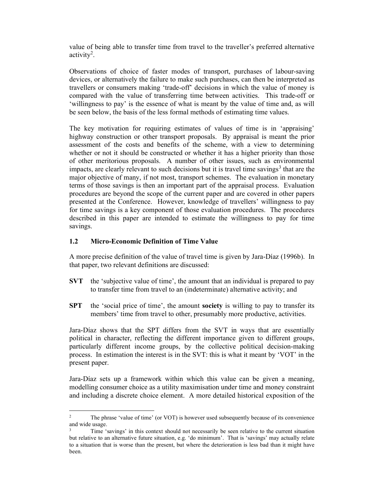value of being able to transfer time from travel to the traveller's preferred alternative activity<sup>2</sup>.

Observations of choice of faster modes of transport, purchases of labour-saving devices, or alternatively the failure to make such purchases, can then be interpreted as travellers or consumers making 'trade-off' decisions in which the value of money is compared with the value of transferring time between activities. This trade-off or 'willingness to pay' is the essence of what is meant by the value of time and, as will be seen below, the basis of the less formal methods of estimating time values.

The key motivation for requiring estimates of values of time is in 'appraising' highway construction or other transport proposals. By appraisal is meant the prior assessment of the costs and benefits of the scheme, with a view to determining whether or not it should be constructed or whether it has a higher priority than those of other meritorious proposals. A number of other issues, such as environmental impacts, are clearly relevant to such decisions but it is travel time savings<sup>3</sup> that are the major objective of many, if not most, transport schemes. The evaluation in monetary terms of those savings is then an important part of the appraisal process. Evaluation procedures are beyond the scope of the current paper and are covered in other papers presented at the Conference. However, knowledge of travellers' willingness to pay for time savings is a key component of those evaluation procedures. The procedures described in this paper are intended to estimate the willingness to pay for time savings.

## 1.2 Micro-Economic Definition of Time Value

A more precise definition of the value of travel time is given by Jara-Díaz (1996b). In that paper, two relevant definitions are discussed:

- SVT the 'subjective value of time', the amount that an individual is prepared to pay to transfer time from travel to an (indeterminate) alternative activity; and
- SPT the 'social price of time', the amount society is willing to pay to transfer its members' time from travel to other, presumably more productive, activities.

Jara-Díaz shows that the SPT differs from the SVT in ways that are essentially political in character, reflecting the different importance given to different groups, particularly different income groups, by the collective political decision-making process. In estimation the interest is in the SVT: this is what it meant by 'VOT' in the present paper.

Jara-Díaz sets up a framework within which this value can be given a meaning, modelling consumer choice as a utility maximisation under time and money constraint and including a discrete choice element. A more detailed historical exposition of the

<sup>2</sup> The phrase 'value of time' (or VOT) is however used subsequently because of its convenience and wide usage.

<sup>3</sup> Time 'savings' in this context should not necessarily be seen relative to the current situation but relative to an alternative future situation, e.g. 'do minimum'. That is 'savings' may actually relate to a situation that is worse than the present, but where the deterioration is less bad than it might have been.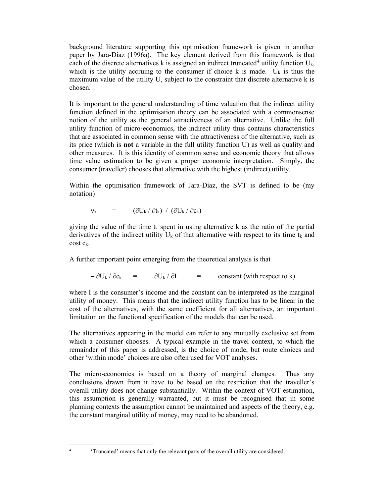background literature supporting this optimisation framework is given in another paper by Jara-Díaz (1996a). The key element derived from this framework is that each of the discrete alternatives k is assigned an indirect truncated<sup>4</sup> utility function  $U_k$ , which is the utility accruing to the consumer if choice k is made.  $U_k$  is thus the maximum value of the utility U, subject to the constraint that discrete alternative k is chosen.

It is important to the general understanding of time valuation that the indirect utility function defined in the optimisation theory can be associated with a commonsense notion of the utility as the general attractiveness of an alternative. Unlike the full utility function of micro-economics, the indirect utility thus contains characteristics that are associated in common sense with the attractiveness of the alternative, such as its price (which is not a variable in the full utility function U) as well as quality and other measures. It is this identity of common sense and economic theory that allows time value estimation to be given a proper economic interpretation. Simply, the consumer (traveller) chooses that alternative with the highest (indirect) utility.

Within the optimisation framework of Jara-Díaz, the SVT is defined to be (my notation)

$$
v_k = (\partial U_k / \partial t_k) / (\partial U_k / \partial c_k)
$$

giving the value of the time  $t_k$  spent in using alternative k as the ratio of the partial derivatives of the indirect utility  $U_k$  of that alternative with respect to its time  $t_k$  and cost ck.

A further important point emerging from the theoretical analysis is that

 $-\partial U_k / \partial c_k$  =  $\partial U_k / \partial I$  = constant (with respect to k)

where I is the consumer's income and the constant can be interpreted as the marginal utility of money. This means that the indirect utility function has to be linear in the cost of the alternatives, with the same coefficient for all alternatives, an important limitation on the functional specification of the models that can be used.

The alternatives appearing in the model can refer to any mutually exclusive set from which a consumer chooses. A typical example in the travel context, to which the remainder of this paper is addressed, is the choice of mode, but route choices and other 'within mode' choices are also often used for VOT analyses.

The micro-economics is based on a theory of marginal changes. Thus any conclusions drawn from it have to be based on the restriction that the traveller's overall utility does not change substantially. Within the context of VOT estimation, this assumption is generally warranted, but it must be recognised that in some planning contexts the assumption cannot be maintained and aspects of the theory, e.g. the constant marginal utility of money, may need to be abandoned.

4

 <sup>&#</sup>x27;Truncated' means that only the relevant parts of the overall utility are considered.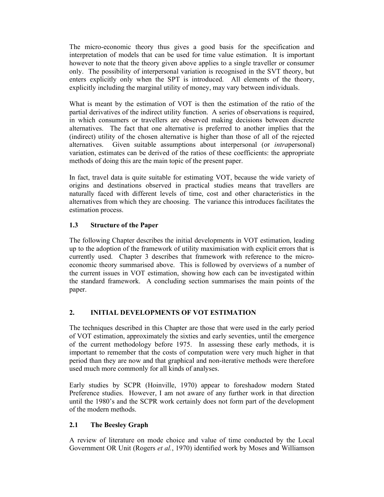The micro-economic theory thus gives a good basis for the specification and interpretation of models that can be used for time value estimation. It is important however to note that the theory given above applies to a single traveller or consumer only. The possibility of interpersonal variation is recognised in the SVT theory, but enters explicitly only when the SPT is introduced. All elements of the theory, explicitly including the marginal utility of money, may vary between individuals.

What is meant by the estimation of VOT is then the estimation of the ratio of the partial derivatives of the indirect utility function. A series of observations is required, in which consumers or travellers are observed making decisions between discrete alternatives. The fact that one alternative is preferred to another implies that the (indirect) utility of the chosen alternative is higher than those of all of the rejected alternatives. Given suitable assumptions about interpersonal (or intrapersonal) variation, estimates can be derived of the ratios of these coefficients: the appropriate methods of doing this are the main topic of the present paper.

In fact, travel data is quite suitable for estimating VOT, because the wide variety of origins and destinations observed in practical studies means that travellers are naturally faced with different levels of time, cost and other characteristics in the alternatives from which they are choosing. The variance this introduces facilitates the estimation process.

# 1.3 Structure of the Paper

The following Chapter describes the initial developments in VOT estimation, leading up to the adoption of the framework of utility maximisation with explicit errors that is currently used. Chapter 3 describes that framework with reference to the microeconomic theory summarised above. This is followed by overviews of a number of the current issues in VOT estimation, showing how each can be investigated within the standard framework. A concluding section summarises the main points of the paper.

## 2. INITIAL DEVELOPMENTS OF VOT ESTIMATION

The techniques described in this Chapter are those that were used in the early period of VOT estimation, approximately the sixties and early seventies, until the emergence of the current methodology before 1975. In assessing these early methods, it is important to remember that the costs of computation were very much higher in that period than they are now and that graphical and non-iterative methods were therefore used much more commonly for all kinds of analyses.

Early studies by SCPR (Hoinville, 1970) appear to foreshadow modern Stated Preference studies. However, I am not aware of any further work in that direction until the 1980's and the SCPR work certainly does not form part of the development of the modern methods.

# 2.1 The Beesley Graph

A review of literature on mode choice and value of time conducted by the Local Government OR Unit (Rogers et al., 1970) identified work by Moses and Williamson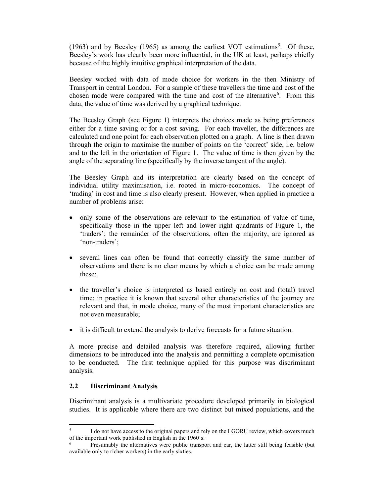(1963) and by Beesley (1965) as among the earliest VOT estimations<sup>5</sup>. Of these, Beesley's work has clearly been more influential, in the UK at least, perhaps chiefly because of the highly intuitive graphical interpretation of the data.

Beesley worked with data of mode choice for workers in the then Ministry of Transport in central London. For a sample of these travellers the time and cost of the chosen mode were compared with the time and cost of the alternative<sup>6</sup>. From this data, the value of time was derived by a graphical technique.

The Beesley Graph (see Figure 1) interprets the choices made as being preferences either for a time saving or for a cost saving. For each traveller, the differences are calculated and one point for each observation plotted on a graph. A line is then drawn through the origin to maximise the number of points on the 'correct' side, i.e. below and to the left in the orientation of Figure 1. The value of time is then given by the angle of the separating line (specifically by the inverse tangent of the angle).

The Beesley Graph and its interpretation are clearly based on the concept of individual utility maximisation, i.e. rooted in micro-economics. The concept of 'trading' in cost and time is also clearly present. However, when applied in practice a number of problems arise:

- only some of the observations are relevant to the estimation of value of time, specifically those in the upper left and lower right quadrants of Figure 1, the 'traders'; the remainder of the observations, often the majority, are ignored as 'non-traders';
- several lines can often be found that correctly classify the same number of observations and there is no clear means by which a choice can be made among these;
- the traveller's choice is interpreted as based entirely on cost and (total) travel time; in practice it is known that several other characteristics of the journey are relevant and that, in mode choice, many of the most important characteristics are not even measurable;
- it is difficult to extend the analysis to derive forecasts for a future situation.

A more precise and detailed analysis was therefore required, allowing further dimensions to be introduced into the analysis and permitting a complete optimisation to be conducted. The first technique applied for this purpose was discriminant analysis.

#### 2.2 Discriminant Analysis

Discriminant analysis is a multivariate procedure developed primarily in biological studies. It is applicable where there are two distinct but mixed populations, and the

<sup>5</sup> I do not have access to the original papers and rely on the LGORU review, which covers much of the important work published in English in the 1960's.

<sup>6</sup> Presumably the alternatives were public transport and car, the latter still being feasible (but available only to richer workers) in the early sixties.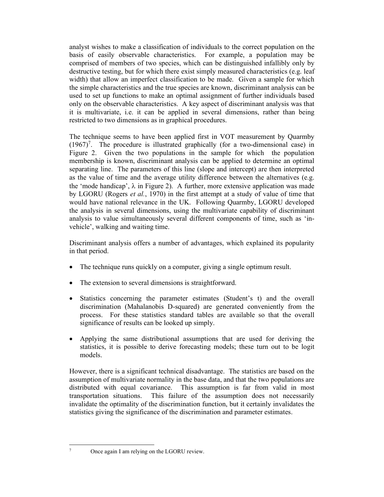analyst wishes to make a classification of individuals to the correct population on the basis of easily observable characteristics. For example, a population may be comprised of members of two species, which can be distinguished infallibly only by destructive testing, but for which there exist simply measured characteristics (e.g. leaf width) that allow an imperfect classification to be made. Given a sample for which the simple characteristics and the true species are known, discriminant analysis can be used to set up functions to make an optimal assignment of further individuals based only on the observable characteristics. A key aspect of discriminant analysis was that it is multivariate, i.e. it can be applied in several dimensions, rather than being restricted to two dimensions as in graphical procedures.

The technique seems to have been applied first in VOT measurement by Quarmby  $(1967)^7$ . The procedure is illustrated graphically (for a two-dimensional case) in Figure 2. Given the two populations in the sample for which the population membership is known, discriminant analysis can be applied to determine an optimal separating line. The parameters of this line (slope and intercept) are then interpreted as the value of time and the average utility difference between the alternatives (e.g. the 'mode handicap',  $\lambda$  in Figure 2). A further, more extensive application was made by LGORU (Rogers et al., 1970) in the first attempt at a study of value of time that would have national relevance in the UK. Following Quarmby, LGORU developed the analysis in several dimensions, using the multivariate capability of discriminant analysis to value simultaneously several different components of time, such as 'invehicle', walking and waiting time.

Discriminant analysis offers a number of advantages, which explained its popularity in that period.

- The technique runs quickly on a computer, giving a single optimum result.
- The extension to several dimensions is straightforward.
- Statistics concerning the parameter estimates (Student's t) and the overall discrimination (Mahalanobis D-squared) are generated conveniently from the process. For these statistics standard tables are available so that the overall significance of results can be looked up simply.
- Applying the same distributional assumptions that are used for deriving the statistics, it is possible to derive forecasting models; these turn out to be logit models.

However, there is a significant technical disadvantage. The statistics are based on the assumption of multivariate normality in the base data, and that the two populations are distributed with equal covariance. This assumption is far from valid in most transportation situations. This failure of the assumption does not necessarily invalidate the optimality of the discrimination function, but it certainly invalidates the statistics giving the significance of the discrimination and parameter estimates.

<sup>7</sup>

Once again I am relying on the LGORU review.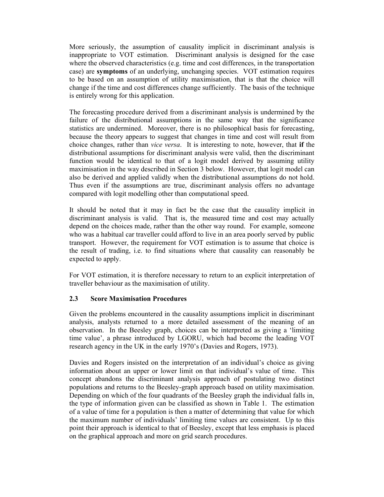More seriously, the assumption of causality implicit in discriminant analysis is inappropriate to VOT estimation. Discriminant analysis is designed for the case where the observed characteristics (e.g. time and cost differences, in the transportation case) are symptoms of an underlying, unchanging species. VOT estimation requires to be based on an assumption of utility maximisation, that is that the choice will change if the time and cost differences change sufficiently. The basis of the technique is entirely wrong for this application.

The forecasting procedure derived from a discriminant analysis is undermined by the failure of the distributional assumptions in the same way that the significance statistics are undermined. Moreover, there is no philosophical basis for forecasting, because the theory appears to suggest that changes in time and cost will result from choice changes, rather than vice versa. It is interesting to note, however, that if the distributional assumptions for discriminant analysis were valid, then the discriminant function would be identical to that of a logit model derived by assuming utility maximisation in the way described in Section 3 below. However, that logit model can also be derived and applied validly when the distributional assumptions do not hold. Thus even if the assumptions are true, discriminant analysis offers no advantage compared with logit modelling other than computational speed.

It should be noted that it may in fact be the case that the causality implicit in discriminant analysis is valid. That is, the measured time and cost may actually depend on the choices made, rather than the other way round. For example, someone who was a habitual car traveller could afford to live in an area poorly served by public transport. However, the requirement for VOT estimation is to assume that choice is the result of trading, i.e. to find situations where that causality can reasonably be expected to apply.

For VOT estimation, it is therefore necessary to return to an explicit interpretation of traveller behaviour as the maximisation of utility.

## 2.3 Score Maximisation Procedures

Given the problems encountered in the causality assumptions implicit in discriminant analysis, analysts returned to a more detailed assessment of the meaning of an observation. In the Beesley graph, choices can be interpreted as giving a 'limiting time value', a phrase introduced by LGORU, which had become the leading VOT research agency in the UK in the early 1970's (Davies and Rogers, 1973).

Davies and Rogers insisted on the interpretation of an individual's choice as giving information about an upper or lower limit on that individual's value of time. This concept abandons the discriminant analysis approach of postulating two distinct populations and returns to the Beesley-graph approach based on utility maximisation. Depending on which of the four quadrants of the Beesley graph the individual falls in, the type of information given can be classified as shown in Table 1. The estimation of a value of time for a population is then a matter of determining that value for which the maximum number of individuals' limiting time values are consistent. Up to this point their approach is identical to that of Beesley, except that less emphasis is placed on the graphical approach and more on grid search procedures.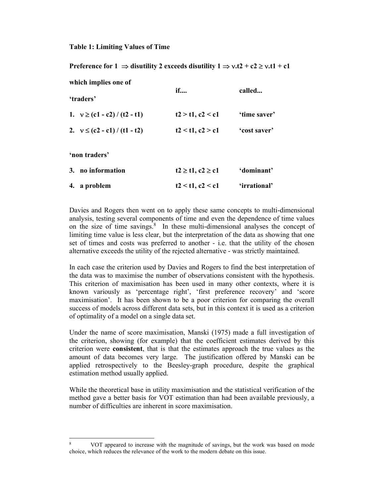#### Table 1: Limiting Values of Time

| Preference for $1 \Rightarrow$ disutility 2 exceeds disutility $1 \Rightarrow v.t2 + c2 \ge v.t1 + c1$ |                       |              |
|--------------------------------------------------------------------------------------------------------|-----------------------|--------------|
| which implies one of                                                                                   | if                    | called       |
| 'traders'                                                                                              |                       |              |
| 1. $v \ge (c1 - c2) / (t2 - t1)$                                                                       | $t2 > t1$ , $c2 < c1$ | 'time saver' |
| 2. $v \le (c2 - c1) / (t1 - t2)$                                                                       | t2 < t1, c2 > c1      | 'cost saver' |
| 'non traders'                                                                                          |                       |              |
| 3. no information                                                                                      | $t2 \ge 1, c2 \ge c1$ | 'dominant'   |
| 4. a problem                                                                                           | t2 < t1, c2 < c1      | 'irrational' |

Davies and Rogers then went on to apply these same concepts to multi-dimensional analysis, testing several components of time and even the dependence of time values on the size of time savings. $8\text{ In these multi-dimensional analyses the concept of }$ limiting time value is less clear, but the interpretation of the data as showing that one set of times and costs was preferred to another - i.e. that the utility of the chosen alternative exceeds the utility of the rejected alternative - was strictly maintained.

In each case the criterion used by Davies and Rogers to find the best interpretation of the data was to maximise the number of observations consistent with the hypothesis. This criterion of maximisation has been used in many other contexts, where it is known variously as 'percentage right', 'first preference recovery' and 'score maximisation'. It has been shown to be a poor criterion for comparing the overall success of models across different data sets, but in this context it is used as a criterion of optimality of a model on a single data set.

Under the name of score maximisation, Manski (1975) made a full investigation of the criterion, showing (for example) that the coefficient estimates derived by this criterion were consistent, that is that the estimates approach the true values as the amount of data becomes very large. The justification offered by Manski can be applied retrospectively to the Beesley-graph procedure, despite the graphical estimation method usually applied.

While the theoretical base in utility maximisation and the statistical verification of the method gave a better basis for VOT estimation than had been available previously, a number of difficulties are inherent in score maximisation.

<sup>8</sup> VOT appeared to increase with the magnitude of savings, but the work was based on mode choice, which reduces the relevance of the work to the modern debate on this issue.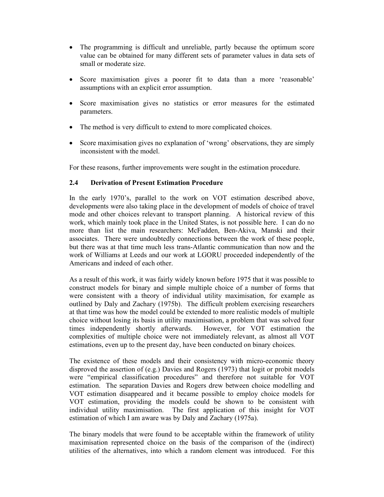- The programming is difficult and unreliable, partly because the optimum score value can be obtained for many different sets of parameter values in data sets of small or moderate size.
- Score maximisation gives a poorer fit to data than a more 'reasonable' assumptions with an explicit error assumption.
- Score maximisation gives no statistics or error measures for the estimated parameters.
- The method is very difficult to extend to more complicated choices.
- Score maximisation gives no explanation of 'wrong' observations, they are simply inconsistent with the model.

For these reasons, further improvements were sought in the estimation procedure.

### 2.4 Derivation of Present Estimation Procedure

In the early 1970's, parallel to the work on VOT estimation described above, developments were also taking place in the development of models of choice of travel mode and other choices relevant to transport planning. A historical review of this work, which mainly took place in the United States, is not possible here. I can do no more than list the main researchers: McFadden, Ben-Akiva, Manski and their associates. There were undoubtedly connections between the work of these people, but there was at that time much less trans-Atlantic communication than now and the work of Williams at Leeds and our work at LGORU proceeded independently of the Americans and indeed of each other.

As a result of this work, it was fairly widely known before 1975 that it was possible to construct models for binary and simple multiple choice of a number of forms that were consistent with a theory of individual utility maximisation, for example as outlined by Daly and Zachary (1975b). The difficult problem exercising researchers at that time was how the model could be extended to more realistic models of multiple choice without losing its basis in utility maximisation, a problem that was solved four times independently shortly afterwards. However, for VOT estimation the complexities of multiple choice were not immediately relevant, as almost all VOT estimations, even up to the present day, have been conducted on binary choices.

The existence of these models and their consistency with micro-economic theory disproved the assertion of (e.g.) Davies and Rogers (1973) that logit or probit models were "empirical classification procedures" and therefore not suitable for VOT estimation. The separation Davies and Rogers drew between choice modelling and VOT estimation disappeared and it became possible to employ choice models for VOT estimation, providing the models could be shown to be consistent with individual utility maximisation. The first application of this insight for VOT estimation of which I am aware was by Daly and Zachary (1975a).

The binary models that were found to be acceptable within the framework of utility maximisation represented choice on the basis of the comparison of the (indirect) utilities of the alternatives, into which a random element was introduced. For this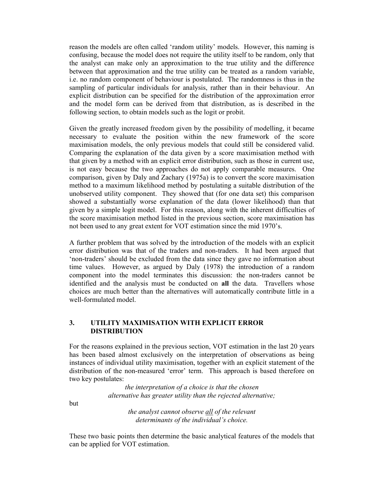reason the models are often called 'random utility' models. However, this naming is confusing, because the model does not require the utility itself to be random, only that the analyst can make only an approximation to the true utility and the difference between that approximation and the true utility can be treated as a random variable, i.e. no random component of behaviour is postulated. The randomness is thus in the sampling of particular individuals for analysis, rather than in their behaviour. An explicit distribution can be specified for the distribution of the approximation error and the model form can be derived from that distribution, as is described in the following section, to obtain models such as the logit or probit.

Given the greatly increased freedom given by the possibility of modelling, it became necessary to evaluate the position within the new framework of the score maximisation models, the only previous models that could still be considered valid. Comparing the explanation of the data given by a score maximisation method with that given by a method with an explicit error distribution, such as those in current use, is not easy because the two approaches do not apply comparable measures. One comparison, given by Daly and Zachary (1975a) is to convert the score maximisation method to a maximum likelihood method by postulating a suitable distribution of the unobserved utility component. They showed that (for one data set) this comparison showed a substantially worse explanation of the data (lower likelihood) than that given by a simple logit model. For this reason, along with the inherent difficulties of the score maximisation method listed in the previous section, score maximisation has not been used to any great extent for VOT estimation since the mid 1970's.

A further problem that was solved by the introduction of the models with an explicit error distribution was that of the traders and non-traders. It had been argued that 'non-traders' should be excluded from the data since they gave no information about time values. However, as argued by Daly (1978) the introduction of a random component into the model terminates this discussion: the non-traders cannot be identified and the analysis must be conducted on all the data. Travellers whose choices are much better than the alternatives will automatically contribute little in a well-formulated model.

### 3. UTILITY MAXIMISATION WITH EXPLICIT ERROR DISTRIBUTION

For the reasons explained in the previous section, VOT estimation in the last 20 years has been based almost exclusively on the interpretation of observations as being instances of individual utility maximisation, together with an explicit statement of the distribution of the non-measured 'error' term. This approach is based therefore on two key postulates:

> the interpretation of a choice is that the chosen alternative has greater utility than the rejected alternative;

but

the analyst cannot observe all of the relevant determinants of the individual's choice.

These two basic points then determine the basic analytical features of the models that can be applied for VOT estimation.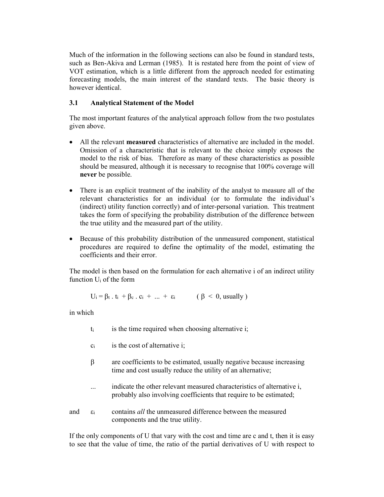Much of the information in the following sections can also be found in standard tests, such as Ben-Akiva and Lerman (1985). It is restated here from the point of view of VOT estimation, which is a little different from the approach needed for estimating forecasting models, the main interest of the standard texts. The basic theory is however identical.

### 3.1 Analytical Statement of the Model

The most important features of the analytical approach follow from the two postulates given above.

- All the relevant measured characteristics of alternative are included in the model. Omission of a characteristic that is relevant to the choice simply exposes the model to the risk of bias. Therefore as many of these characteristics as possible should be measured, although it is necessary to recognise that 100% coverage will never be possible.
- There is an explicit treatment of the inability of the analyst to measure all of the relevant characteristics for an individual (or to formulate the individual's (indirect) utility function correctly) and of inter-personal variation. This treatment takes the form of specifying the probability distribution of the difference between the true utility and the measured part of the utility.
- Because of this probability distribution of the unmeasured component, statistical procedures are required to define the optimality of the model, estimating the coefficients and their error.

The model is then based on the formulation for each alternative i of an indirect utility function Ui of the form

$$
U_i = \beta_t \cdot t_i + \beta_c \cdot c_i + \dots + \varepsilon_i \qquad (\beta < 0, usually)
$$

in which

- $t_i$  is the time required when choosing alternative i;
- $c_i$  is the cost of alternative i;
- $\beta$  are coefficients to be estimated, usually negative because increasing time and cost usually reduce the utility of an alternative;
- ... indicate the other relevant measured characteristics of alternative i, probably also involving coefficients that require to be estimated;
- and  $\varepsilon_i$  contains *all* the unmeasured difference between the measured components and the true utility.

If the only components of U that vary with the cost and time are c and t, then it is easy to see that the value of time, the ratio of the partial derivatives of U with respect to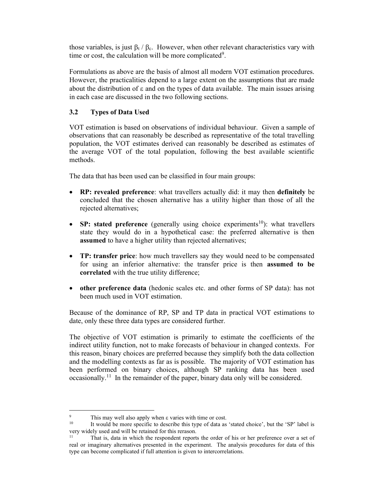those variables, is just  $\beta_t$  /  $\beta_c$ . However, when other relevant characteristics vary with time or cost, the calculation will be more complicated<sup>9</sup>.

Formulations as above are the basis of almost all modern VOT estimation procedures. However, the practicalities depend to a large extent on the assumptions that are made about the distribution of  $\varepsilon$  and on the types of data available. The main issues arising in each case are discussed in the two following sections.

# 3.2 Types of Data Used

VOT estimation is based on observations of individual behaviour. Given a sample of observations that can reasonably be described as representative of the total travelling population, the VOT estimates derived can reasonably be described as estimates of the average VOT of the total population, following the best available scientific methods.

The data that has been used can be classified in four main groups:

- RP: revealed preference: what travellers actually did: it may then definitely be concluded that the chosen alternative has a utility higher than those of all the rejected alternatives;
- SP: stated preference (generally using choice experiments<sup>10</sup>): what travellers state they would do in a hypothetical case: the preferred alternative is then assumed to have a higher utility than rejected alternatives;
- TP: transfer price: how much travellers say they would need to be compensated for using an inferior alternative: the transfer price is then assumed to be correlated with the true utility difference;
- other preference data (hedonic scales etc. and other forms of SP data): has not been much used in VOT estimation.

Because of the dominance of RP, SP and TP data in practical VOT estimations to date, only these three data types are considered further.

The objective of VOT estimation is primarily to estimate the coefficients of the indirect utility function, not to make forecasts of behaviour in changed contexts. For this reason, binary choices are preferred because they simplify both the data collection and the modelling contexts as far as is possible. The majority of VOT estimation has been performed on binary choices, although SP ranking data has been used occasionally.<sup>11</sup> In the remainder of the paper, binary data only will be considered.

<sup>9</sup> This may well also apply when  $\varepsilon$  varies with time or cost.

It would be more specific to describe this type of data as 'stated choice', but the 'SP' label is very widely used and will be retained for this rerason.

<sup>&</sup>lt;sup>11</sup> That is, data in which the respondent reports the order of his or her preference over a set of real or imaginary alternatives presented in the experiment. The analysis procedures for data of this type can become complicated if full attention is given to intercorrelations.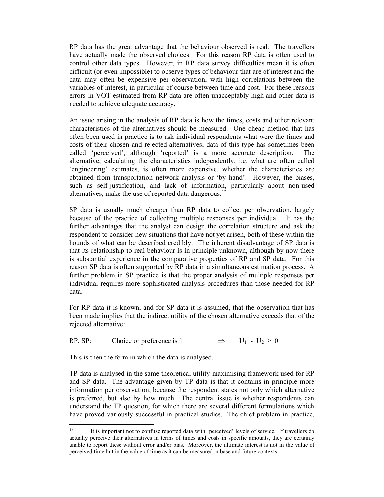RP data has the great advantage that the behaviour observed is real. The travellers have actually made the observed choices. For this reason RP data is often used to control other data types. However, in RP data survey difficulties mean it is often difficult (or even impossible) to observe types of behaviour that are of interest and the data may often be expensive per observation, with high correlations between the variables of interest, in particular of course between time and cost. For these reasons errors in VOT estimated from RP data are often unacceptably high and other data is needed to achieve adequate accuracy.

An issue arising in the analysis of RP data is how the times, costs and other relevant characteristics of the alternatives should be measured. One cheap method that has often been used in practice is to ask individual respondents what were the times and costs of their chosen and rejected alternatives; data of this type has sometimes been called 'perceived', although 'reported' is a more accurate description. The alternative, calculating the characteristics independently, i.e. what are often called 'engineering' estimates, is often more expensive, whether the characteristics are obtained from transportation network analysis or 'by hand'. However, the biases, such as self-justification, and lack of information, particularly about non-used alternatives, make the use of reported data dangerous.<sup>12</sup>

SP data is usually much cheaper than RP data to collect per observation, largely because of the practice of collecting multiple responses per individual. It has the further advantages that the analyst can design the correlation structure and ask the respondent to consider new situations that have not yet arisen, both of these within the bounds of what can be described credibly. The inherent disadvantage of SP data is that its relationship to real behaviour is in principle unknown, although by now there is substantial experience in the comparative properties of RP and SP data. For this reason SP data is often supported by RP data in a simultaneous estimation process. A further problem in SP practice is that the proper analysis of multiple responses per individual requires more sophisticated analysis procedures than those needed for RP data.

For RP data it is known, and for SP data it is assumed, that the observation that has been made implies that the indirect utility of the chosen alternative exceeds that of the rejected alternative:

RP, SP: Choice or preference is 1  $\implies$  U<sub>1</sub> - U<sub>2</sub>  $\geq$  0

This is then the form in which the data is analysed.

TP data is analysed in the same theoretical utility-maximising framework used for RP and SP data. The advantage given by TP data is that it contains in principle more information per observation, because the respondent states not only which alternative is preferred, but also by how much. The central issue is whether respondents can understand the TP question, for which there are several different formulations which have proved variously successful in practical studies. The chief problem in practice,

<sup>&</sup>lt;sup>12</sup> It is important not to confuse reported data with 'perceived' levels of service. If travellers do actually perceive their alternatives in terms of times and costs in specific amounts, they are certainly unable to report these without error and/or bias. Moreover, the ultimate interest is not in the value of perceived time but in the value of time as it can be measured in base and future contexts.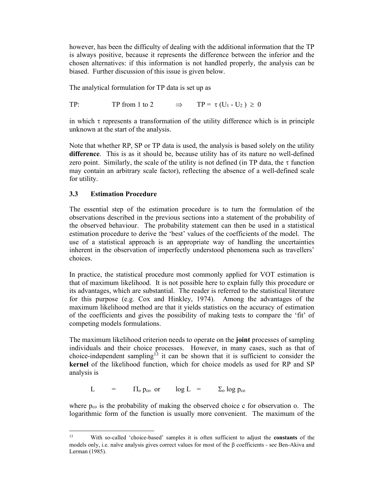however, has been the difficulty of dealing with the additional information that the TP is always positive, because it represents the difference between the inferior and the chosen alternatives: if this information is not handled properly, the analysis can be biased. Further discussion of this issue is given below.

The analytical formulation for TP data is set up as

TP: TP from 1 to 2  $\implies$  TP =  $\tau$  (U<sub>1</sub> - U<sub>2</sub>)  $\geq$  0

in which  $\tau$  represents a transformation of the utility difference which is in principle unknown at the start of the analysis.

Note that whether RP, SP or TP data is used, the analysis is based solely on the utility difference. This is as it should be, because utility has of its nature no well-defined zero point. Similarly, the scale of the utility is not defined (in TP data, the  $\tau$  function may contain an arbitrary scale factor), reflecting the absence of a well-defined scale for utility.

### 3.3 Estimation Procedure

The essential step of the estimation procedure is to turn the formulation of the observations described in the previous sections into a statement of the probability of the observed behaviour. The probability statement can then be used in a statistical estimation procedure to derive the 'best' values of the coefficients of the model. The use of a statistical approach is an appropriate way of handling the uncertainties inherent in the observation of imperfectly understood phenomena such as travellers' choices.

In practice, the statistical procedure most commonly applied for VOT estimation is that of maximum likelihood. It is not possible here to explain fully this procedure or its advantages, which are substantial. The reader is referred to the statistical literature for this purpose (e.g. Cox and Hinkley, 1974). Among the advantages of the maximum likelihood method are that it yields statistics on the accuracy of estimation of the coefficients and gives the possibility of making tests to compare the 'fit' of competing models formulations.

The maximum likelihood criterion needs to operate on the **joint** processes of sampling individuals and their choice processes. However, in many cases, such as that of choice-independent sampling<sup>13</sup> it can be shown that it is sufficient to consider the kernel of the likelihood function, which for choice models as used for RP and SP analysis is

L =  $\Pi_0$  p<sub>co</sub> or  $\log L = \sum_0 \log p_{\text{co}}$ 

where  $p_{co}$  is the probability of making the observed choice c for observation o. The logarithmic form of the function is usually more convenient. The maximum of the

With so-called 'choice-based' samples it is often sufficient to adjust the **constants** of the models only, i.e. naïve analysis gives correct values for most of the  $\beta$  coefficients - see Ben-Akiva and Lerman (1985).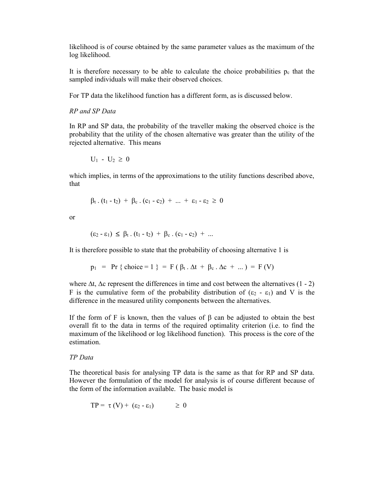likelihood is of course obtained by the same parameter values as the maximum of the log likelihood.

It is therefore necessary to be able to calculate the choice probabilities  $p_c$  that the sampled individuals will make their observed choices.

For TP data the likelihood function has a different form, as is discussed below.

RP and SP Data

In RP and SP data, the probability of the traveller making the observed choice is the probability that the utility of the chosen alternative was greater than the utility of the rejected alternative. This means

$$
U_1 - U_2 \geq 0
$$

which implies, in terms of the approximations to the utility functions described above, that

$$
\beta_{t} \cdot (t_{1} - t_{2}) + \beta_{c} \cdot (c_{1} - c_{2}) + ... + \epsilon_{1} - \epsilon_{2} \geq 0
$$

or

$$
(\varepsilon_2 - \varepsilon_1) \leq \beta_t \cdot (t_1 - t_2) + \beta_c \cdot (c_1 - c_2) + \dots
$$

It is therefore possible to state that the probability of choosing alternative 1 is

 $p_1$  = Pr { choice = 1 } = F ( $\beta_t$ .  $\Delta t$  +  $\beta_c$ .  $\Delta c$  + ... ) = F (V)

where  $\Delta t$ ,  $\Delta c$  represent the differences in time and cost between the alternatives (1 - 2) F is the cumulative form of the probability distribution of  $(\epsilon_2 - \epsilon_1)$  and V is the difference in the measured utility components between the alternatives.

If the form of F is known, then the values of  $\beta$  can be adjusted to obtain the best overall fit to the data in terms of the required optimality criterion (i.e. to find the maximum of the likelihood or log likelihood function). This process is the core of the estimation.

TP Data

The theoretical basis for analysing TP data is the same as that for RP and SP data. However the formulation of the model for analysis is of course different because of the form of the information available. The basic model is

$$
TP = \tau(V) + (\epsilon_2 - \epsilon_1) \geq 0
$$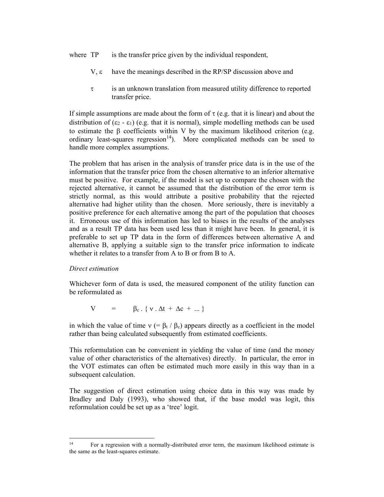where TP is the transfer price given by the individual respondent,

- $V, \varepsilon$  have the meanings described in the RP/SP discussion above and
- $\tau$  is an unknown translation from measured utility difference to reported transfer price.

If simple assumptions are made about the form of  $\tau$  (e.g. that it is linear) and about the distribution of  $(\epsilon_2 - \epsilon_1)$  (e.g. that it is normal), simple modelling methods can be used to estimate the  $\beta$  coefficients within V by the maximum likelihood criterion (e.g. ordinary least-squares regression<sup>14</sup>). More complicated methods can be used to handle more complex assumptions.

The problem that has arisen in the analysis of transfer price data is in the use of the information that the transfer price from the chosen alternative to an inferior alternative must be positive. For example, if the model is set up to compare the chosen with the rejected alternative, it cannot be assumed that the distribution of the error term is strictly normal, as this would attribute a positive probability that the rejected alternative had higher utility than the chosen. More seriously, there is inevitably a positive preference for each alternative among the part of the population that chooses it. Erroneous use of this information has led to biases in the results of the analyses and as a result TP data has been used less than it might have been. In general, it is preferable to set up TP data in the form of differences between alternative A and alternative B, applying a suitable sign to the transfer price information to indicate whether it relates to a transfer from A to B or from B to A.

#### Direct estimation

Whichever form of data is used, the measured component of the utility function can be reformulated as

 $V = \beta_c$ . {  $v \cdot \Delta t + \Delta c + ...$ }

in which the value of time  $v (= \beta_t / \beta_c)$  appears directly as a coefficient in the model rather than being calculated subsequently from estimated coefficients.

This reformulation can be convenient in yielding the value of time (and the money value of other characteristics of the alternatives) directly. In particular, the error in the VOT estimates can often be estimated much more easily in this way than in a subsequent calculation.

The suggestion of direct estimation using choice data in this way was made by Bradley and Daly (1993), who showed that, if the base model was logit, this reformulation could be set up as a 'tree' logit.

<sup>&</sup>lt;sup>14</sup> For a regression with a normally-distributed error term, the maximum likelihood estimate is the same as the least-squares estimate.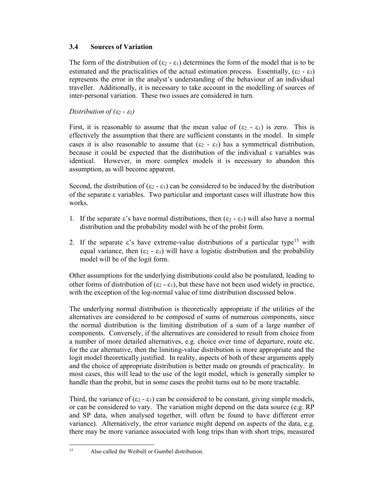### 3.4 Sources of Variation

The form of the distribution of  $(\epsilon_2 - \epsilon_1)$  determines the form of the model that is to be estimated and the practicalities of the actual estimation process. Essentially,  $(\epsilon_2 - \epsilon_1)$ represents the error in the analyst's understanding of the behaviour of an individual traveller. Additionally, it is necessary to take account in the modelling of sources of inter-personal variation. These two issues are considered in turn.

### Distribution of  $(\varepsilon_2 - \varepsilon_1)$

First, it is reasonable to assume that the mean value of  $(\epsilon_2 - \epsilon_1)$  is zero. This is effectively the assumption that there are sufficient constants in the model. In simple cases it is also reasonable to assume that  $(\epsilon_2 - \epsilon_1)$  has a symmetrical distribution, because it could be expected that the distribution of the individual  $\varepsilon$  variables was identical. However, in more complex models it is necessary to abandon this assumption, as will become apparent.

Second, the distribution of  $(\epsilon_2 - \epsilon_1)$  can be considered to be induced by the distribution of the separate  $\epsilon$  variables. Two particular and important cases will illustrate how this works.

- 1. If the separate  $\varepsilon$ 's have normal distributions, then  $(\varepsilon_2 \varepsilon_1)$  will also have a normal distribution and the probability model with be of the probit form.
- 2. If the separate  $\varepsilon$ 's have extreme-value distributions of a particular type<sup>15</sup> with equal variance, then  $(\epsilon_2 - \epsilon_1)$  will have a logistic distribution and the probability model will be of the logit form.

Other assumptions for the underlying distributions could also be postulated, leading to other forms of distribution of ( $\varepsilon_2 - \varepsilon_1$ ), but these have not been used widely in practice, with the exception of the log-normal value of time distribution discussed below.

The underlying normal distribution is theoretically appropriate if the utilities of the alternatives are considered to be composed of sums of numerous components, since the normal distribution is the limiting distribution of a sum of a large number of components. Conversely, if the alternatives are considered to result from choice from a number of more detailed alternatives, e.g. choice over time of departure, route etc. for the car alternative, then the limiting-value distribution is more appropriate and the logit model theoretically justified. In reality, aspects of both of these arguments apply and the choice of appropriate distribution is better made on grounds of practicality. In most cases, this will lead to the use of the logit model, which is generally simpler to handle than the probit, but in some cases the probit turns out to be more tractable.

Third, the variance of  $(\epsilon_2 - \epsilon_1)$  can be considered to be constant, giving simple models, or can be considered to vary. The variation might depend on the data source (e.g. RP and SP data, when analysed together, will often be found to have different error variance). Alternatively, the error variance might depend on aspects of the data, e.g. there may be more variance associated with long trips than with short trips, measured

<sup>15</sup> Also called the Weibull or Gumbel distribution.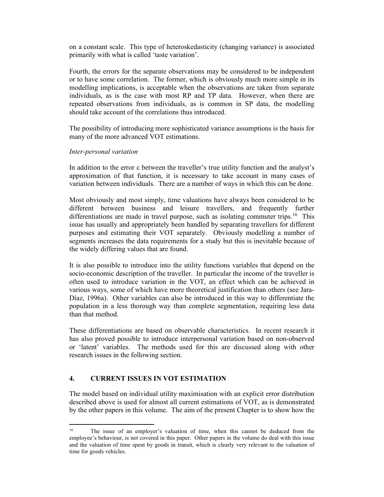on a constant scale. This type of heteroskedasticity (changing variance) is associated primarily with what is called 'taste variation'.

Fourth, the errors for the separate observations may be considered to be independent or to have some correlation. The former, which is obviously much more simple in its modelling implications, is acceptable when the observations are taken from separate individuals, as is the case with most RP and TP data. However, when there are repeated observations from individuals, as is common in SP data, the modelling should take account of the correlations thus introduced.

The possibility of introducing more sophisticated variance assumptions is the basis for many of the more advanced VOT estimations.

#### Inter-personal variation

In addition to the error  $\varepsilon$  between the traveller's true utility function and the analyst's approximation of that function, it is necessary to take account in many cases of variation between individuals. There are a number of ways in which this can be done.

Most obviously and most simply, time valuations have always been considered to be different between business and leisure travellers, and frequently further differentiations are made in travel purpose, such as isolating commuter trips.<sup>16</sup> This issue has usually and appropriately been handled by separating travellers for different purposes and estimating their VOT separately. Obviously modelling a number of segments increases the data requirements for a study but this is inevitable because of the widely differing values that are found.

It is also possible to introduce into the utility functions variables that depend on the socio-economic description of the traveller. In particular the income of the traveller is often used to introduce variation in the VOT, an effect which can be achieved in various ways, some of which have more theoretical justification than others (see Jara-Díaz, 1996a). Other variables can also be introduced in this way to differentiate the population in a less thorough way than complete segmentation, requiring less data than that method.

These differentiations are based on observable characteristics. In recent research it has also proved possible to introduce interpersonal variation based on non-observed or 'latent' variables. The methods used for this are discussed along with other research issues in the following section.

## 4. CURRENT ISSUES IN VOT ESTIMATION

The model based on individual utility maximisation with an explicit error distribution described above is used for almost all current estimations of VOT, as is demonstrated by the other papers in this volume. The aim of the present Chapter is to show how the

<sup>16</sup> The issue of an employer's valuation of time, when this cannot be deduced from the employee's behaviour, is not covered in this paper. Other papers in the volume do deal with this issue and the valuation of time spent by goods in transit, which is clearly very relevant to the valuation of time for goods vehicles.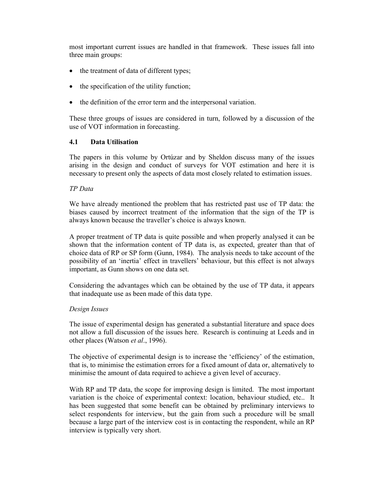most important current issues are handled in that framework. These issues fall into three main groups:

- the treatment of data of different types;
- the specification of the utility function;
- the definition of the error term and the interpersonal variation.

These three groups of issues are considered in turn, followed by a discussion of the use of VOT information in forecasting.

#### 4.1 Data Utilisation

The papers in this volume by Ortúzar and by Sheldon discuss many of the issues arising in the design and conduct of surveys for VOT estimation and here it is necessary to present only the aspects of data most closely related to estimation issues.

#### TP Data

We have already mentioned the problem that has restricted past use of TP data: the biases caused by incorrect treatment of the information that the sign of the TP is always known because the traveller's choice is always known.

A proper treatment of TP data is quite possible and when properly analysed it can be shown that the information content of TP data is, as expected, greater than that of choice data of RP or SP form (Gunn, 1984). The analysis needs to take account of the possibility of an 'inertia' effect in travellers' behaviour, but this effect is not always important, as Gunn shows on one data set.

Considering the advantages which can be obtained by the use of TP data, it appears that inadequate use as been made of this data type.

#### Design Issues

The issue of experimental design has generated a substantial literature and space does not allow a full discussion of the issues here. Research is continuing at Leeds and in other places (Watson *et al.*, 1996).

The objective of experimental design is to increase the 'efficiency' of the estimation, that is, to minimise the estimation errors for a fixed amount of data or, alternatively to minimise the amount of data required to achieve a given level of accuracy.

With RP and TP data, the scope for improving design is limited. The most important variation is the choice of experimental context: location, behaviour studied, etc.. It has been suggested that some benefit can be obtained by preliminary interviews to select respondents for interview, but the gain from such a procedure will be small because a large part of the interview cost is in contacting the respondent, while an RP interview is typically very short.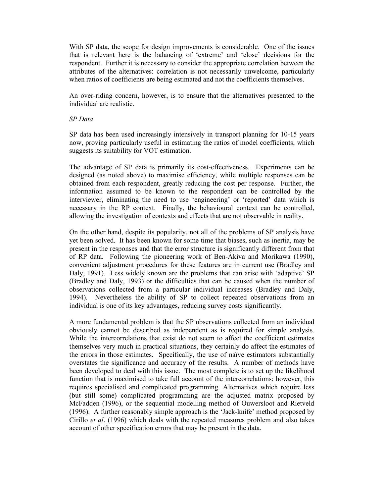With SP data, the scope for design improvements is considerable. One of the issues that is relevant here is the balancing of 'extreme' and 'close' decisions for the respondent. Further it is necessary to consider the appropriate correlation between the attributes of the alternatives: correlation is not necessarily unwelcome, particularly when ratios of coefficients are being estimated and not the coefficients themselves.

An over-riding concern, however, is to ensure that the alternatives presented to the individual are realistic.

SP Data

SP data has been used increasingly intensively in transport planning for 10-15 years now, proving particularly useful in estimating the ratios of model coefficients, which suggests its suitability for VOT estimation.

The advantage of SP data is primarily its cost-effectiveness. Experiments can be designed (as noted above) to maximise efficiency, while multiple responses can be obtained from each respondent, greatly reducing the cost per response. Further, the information assumed to be known to the respondent can be controlled by the interviewer, eliminating the need to use 'engineering' or 'reported' data which is necessary in the RP context. Finally, the behavioural context can be controlled, allowing the investigation of contexts and effects that are not observable in reality.

On the other hand, despite its popularity, not all of the problems of SP analysis have yet been solved. It has been known for some time that biases, such as inertia, may be present in the responses and that the error structure is significantly different from that of RP data. Following the pioneering work of Ben-Akiva and Morikawa (1990), convenient adjustment procedures for these features are in current use (Bradley and Daly, 1991). Less widely known are the problems that can arise with 'adaptive' SP (Bradley and Daly, 1993) or the difficulties that can be caused when the number of observations collected from a particular individual increases (Bradley and Daly, 1994). Nevertheless the ability of SP to collect repeated observations from an individual is one of its key advantages, reducing survey costs significantly.

A more fundamental problem is that the SP observations collected from an individual obviously cannot be described as independent as is required for simple analysis. While the intercorrelations that exist do not seem to affect the coefficient estimates themselves very much in practical situations, they certainly do affect the estimates of the errors in those estimates. Specifically, the use of naïve estimators substantially overstates the significance and accuracy of the results. A number of methods have been developed to deal with this issue. The most complete is to set up the likelihood function that is maximised to take full account of the intercorrelations; however, this requires specialised and complicated programming. Alternatives which require less (but still some) complicated programming are the adjusted matrix proposed by McFadden (1996), or the sequential modelling method of Ouwersloot and Rietveld (1996). A further reasonably simple approach is the 'Jack-knife' method proposed by Cirillo et al. (1996) which deals with the repeated measures problem and also takes account of other specification errors that may be present in the data.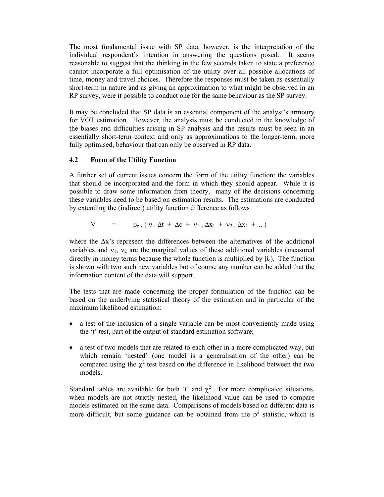The most fundamental issue with SP data, however, is the interpretation of the individual respondent's intention in answering the questions posed. It seems reasonable to suggest that the thinking in the few seconds taken to state a preference cannot incorporate a full optimisation of the utility over all possible allocations of time, money and travel choices. Therefore the responses must be taken as essentially short-term in nature and as giving an approximation to what might be observed in an RP survey, were it possible to conduct one for the same behaviour as the SP survey.

It may be concluded that SP data is an essential component of the analyst's armoury for VOT estimation. However, the analysis must be conducted in the knowledge of the biases and difficulties arising in SP analysis and the results must be seen in an essentially short-term context and only as approximations to the longer-term, more fully optimised, behaviour that can only be observed in RP data.

#### 4.2 Form of the Utility Function

A further set of current issues concern the form of the utility function: the variables that should be incorporated and the form in which they should appear. While it is possible to draw some information from theory, many of the decisions concerning these variables need to be based on estimation results. The estimations are conducted by extending the (indirect) utility function difference as follows

$$
V = \beta_c \cdot (v \cdot \Delta t + \Delta c + v_1 \cdot \Delta x_1 + v_2 \cdot \Delta x_2 + ..)
$$

where the  $\Delta x$ 's represent the differences between the alternatives of the additional variables and  $v_1$ ,  $v_2$  are the marginal values of these additional variables (measured directly in money terms because the whole function is multiplied by  $\beta_c$ ). The function is shown with two such new variables but of course any number can be added that the information content of the data will support.

The tests that are made concerning the proper formulation of the function can be based on the underlying statistical theory of the estimation and in particular of the maximum likelihood estimation:

- a test of the inclusion of a single variable can be most conveniently made using the 't' test, part of the output of standard estimation software;
- a test of two models that are related to each other in a more complicated way, but which remain 'nested' (one model is a generalisation of the other) can be compared using the  $\chi^2$  test based on the difference in likelihood between the two models.

Standard tables are available for both 't' and  $\chi^2$ . For more complicated situations, when models are not strictly nested, the likelihood value can be used to compare models estimated on the same data. Comparisons of models based on different data is more difficult, but some guidance can be obtained from the  $\rho^2$  statistic, which is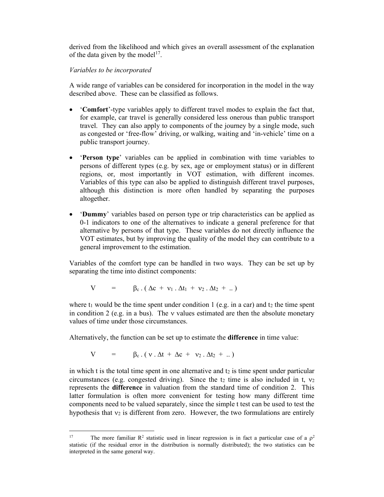derived from the likelihood and which gives an overall assessment of the explanation of the data given by the model<sup>17</sup>.

#### Variables to be incorporated

A wide range of variables can be considered for incorporation in the model in the way described above. These can be classified as follows.

- 'Comfort'-type variables apply to different travel modes to explain the fact that, for example, car travel is generally considered less onerous than public transport travel. They can also apply to components of the journey by a single mode, such as congested or 'free-flow' driving, or walking, waiting and 'in-vehicle' time on a public transport journey.
- 'Person type' variables can be applied in combination with time variables to persons of different types (e.g. by sex, age or employment status) or in different regions, or, most importantly in VOT estimation, with different incomes. Variables of this type can also be applied to distinguish different travel purposes, although this distinction is more often handled by separating the purposes altogether.
- 'Dummy' variables based on person type or trip characteristics can be applied as 0-1 indicators to one of the alternatives to indicate a general preference for that alternative by persons of that type. These variables do not directly influence the VOT estimates, but by improving the quality of the model they can contribute to a general improvement to the estimation.

Variables of the comfort type can be handled in two ways. They can be set up by separating the time into distinct components:

$$
V = \beta_c \cdot (\Delta c + v_1 \cdot \Delta t_1 + v_2 \cdot \Delta t_2 + ..)
$$

where  $t_1$  would be the time spent under condition 1 (e.g. in a car) and  $t_2$  the time spent in condition 2 (e.g. in a bus). The  $\nu$  values estimated are then the absolute monetary values of time under those circumstances.

Alternatively, the function can be set up to estimate the difference in time value:

$$
V = \beta_c \cdot (v \cdot \Delta t + \Delta c + v_2 \cdot \Delta t_2 + ..)
$$

in which t is the total time spent in one alternative and  $t_2$  is time spent under particular circumstances (e.g. congested driving). Since the  $t_2$  time is also included in t,  $v_2$ represents the difference in valuation from the standard time of condition 2. This latter formulation is often more convenient for testing how many different time components need to be valued separately, since the simple t test can be used to test the hypothesis that  $v_2$  is different from zero. However, the two formulations are entirely

<sup>&</sup>lt;sup>17</sup> The more familiar  $\mathbb{R}^2$  statistic used in linear regression is in fact a particular case of a  $\rho^2$ statistic (if the residual error in the distribution is normally distributed); the two statistics can be interpreted in the same general way.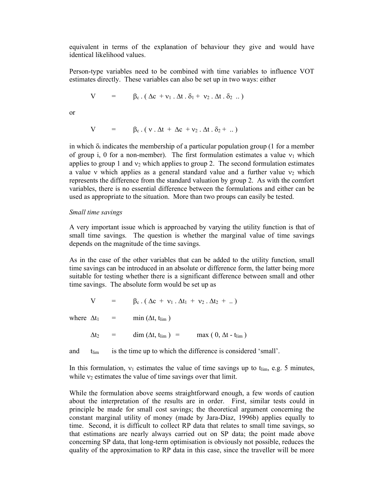equivalent in terms of the explanation of behaviour they give and would have identical likelihood values.

Person-type variables need to be combined with time variables to influence VOT estimates directly. These variables can also be set up in two ways: either

$$
V = \beta_c \cdot (\Delta c + v_1 \cdot \Delta t \cdot \delta_1 + v_2 \cdot \Delta t \cdot \delta_2 \dots)
$$

or

$$
V = \beta_c \cdot (v \cdot \Delta t + \Delta c + v_2 \cdot \Delta t \cdot \delta_2 + ...)
$$

in which  $\delta_i$  indicates the membership of a particular population group (1 for a member of group i, 0 for a non-member). The first formulation estimates a value  $v_1$  which applies to group 1 and  $v_2$  which applies to group 2. The second formulation estimates a value  $\nu$  which applies as a general standard value and a further value  $\nu$ <sub>2</sub> which represents the difference from the standard valuation by group 2. As with the comfort variables, there is no essential difference between the formulations and either can be used as appropriate to the situation. More than two proups can easily be tested.

#### Small time savings

A very important issue which is approached by varying the utility function is that of small time savings. The question is whether the marginal value of time savings depends on the magnitude of the time savings.

As in the case of the other variables that can be added to the utility function, small time savings can be introduced in an absolute or difference form, the latter being more suitable for testing whether there is a significant difference between small and other time savings. The absolute form would be set up as

$$
V = \beta_c \cdot (\Delta c + v_1 \cdot \Delta t_1 + v_2 \cdot \Delta t_2 + ..)
$$

where  $\Delta t_1$  = min ( $\Delta t$ , t<sub>lim</sub>)

 $\Delta t_2$  = dim  $(\Delta t, t_{\text{lim}})$  = max ( 0,  $\Delta t$  - t<sub>lim</sub>)

and  $t_{\text{lim}}$  is the time up to which the difference is considered 'small'.

In this formulation,  $v_1$  estimates the value of time savings up to  $t_{lim}$ , e.g. 5 minutes, while  $v_2$  estimates the value of time savings over that limit.

While the formulation above seems straightforward enough, a few words of caution about the interpretation of the results are in order. First, similar tests could in principle be made for small cost savings; the theoretical argument concerning the constant marginal utility of money (made by Jara-Díaz, 1996b) applies equally to time. Second, it is difficult to collect RP data that relates to small time savings, so that estimations are nearly always carried out on SP data; the point made above concerning SP data, that long-term optimisation is obviously not possible, reduces the quality of the approximation to RP data in this case, since the traveller will be more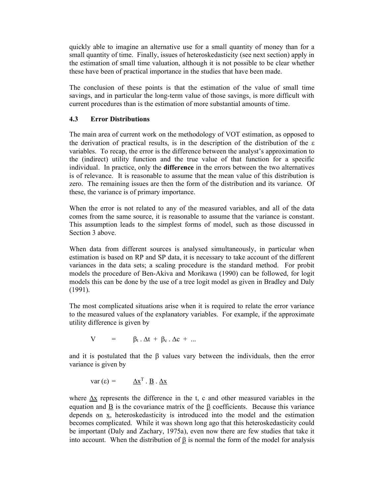quickly able to imagine an alternative use for a small quantity of money than for a small quantity of time. Finally, issues of heteroskedasticity (see next section) apply in the estimation of small time valuation, although it is not possible to be clear whether these have been of practical importance in the studies that have been made.

The conclusion of these points is that the estimation of the value of small time savings, and in particular the long-term value of those savings, is more difficult with current procedures than is the estimation of more substantial amounts of time.

### 4.3 Error Distributions

The main area of current work on the methodology of VOT estimation, as opposed to the derivation of practical results, is in the description of the distribution of the  $\varepsilon$ variables. To recap, the error is the difference between the analyst's approximation to the (indirect) utility function and the true value of that function for a specific individual. In practice, only the difference in the errors between the two alternatives is of relevance. It is reasonable to assume that the mean value of this distribution is zero. The remaining issues are then the form of the distribution and its variance. Of these, the variance is of primary importance.

When the error is not related to any of the measured variables, and all of the data comes from the same source, it is reasonable to assume that the variance is constant. This assumption leads to the simplest forms of model, such as those discussed in Section 3 above.

When data from different sources is analysed simultaneously, in particular when estimation is based on RP and SP data, it is necessary to take account of the different variances in the data sets; a scaling procedure is the standard method. For probit models the procedure of Ben-Akiva and Morikawa (1990) can be followed, for logit models this can be done by the use of a tree logit model as given in Bradley and Daly (1991).

The most complicated situations arise when it is required to relate the error variance to the measured values of the explanatory variables. For example, if the approximate utility difference is given by

$$
V = \beta_t \cdot \Delta t + \beta_c \cdot \Delta c + ...
$$

and it is postulated that the  $\beta$  values vary between the individuals, then the error variance is given by

$$
var(\varepsilon) = \underline{\Delta x}^{T} \cdot \underline{B} \cdot \underline{\Delta x}
$$

where  $\Delta x$  represents the difference in the t, c and other measured variables in the equation and  $\underline{B}$  is the covariance matrix of the  $\underline{B}$  coefficients. Because this variance depends on x, heteroskedasticity is introduced into the model and the estimation becomes complicated. While it was shown long ago that this heteroskedasticity could be important (Daly and Zachary, 1975a), even now there are few studies that take it into account. When the distribution of  $\beta$  is normal the form of the model for analysis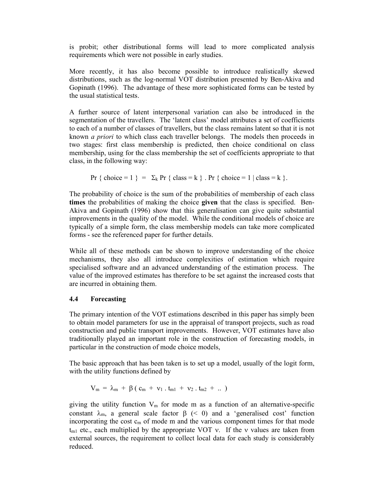is probit; other distributional forms will lead to more complicated analysis requirements which were not possible in early studies.

More recently, it has also become possible to introduce realistically skewed distributions, such as the log-normal VOT distribution presented by Ben-Akiva and Gopinath (1996). The advantage of these more sophisticated forms can be tested by the usual statistical tests.

A further source of latent interpersonal variation can also be introduced in the segmentation of the travellers. The 'latent class' model attributes a set of coefficients to each of a number of classes of travellers, but the class remains latent so that it is not known *a priori* to which class each traveller belongs. The models then proceeds in two stages: first class membership is predicted, then choice conditional on class membership, using for the class membership the set of coefficients appropriate to that class, in the following way:

Pr { choice = 1 } =  $\Sigma_k$  Pr { class = k }. Pr { choice = 1 | class = k }.

The probability of choice is the sum of the probabilities of membership of each class times the probabilities of making the choice given that the class is specified. Ben-Akiva and Gopinath (1996) show that this generalisation can give quite substantial improvements in the quality of the model. While the conditional models of choice are typically of a simple form, the class membership models can take more complicated forms - see the referenced paper for further details.

While all of these methods can be shown to improve understanding of the choice mechanisms, they also all introduce complexities of estimation which require specialised software and an advanced understanding of the estimation process. The value of the improved estimates has therefore to be set against the increased costs that are incurred in obtaining them.

## 4.4 Forecasting

The primary intention of the VOT estimations described in this paper has simply been to obtain model parameters for use in the appraisal of transport projects, such as road construction and public transport improvements. However, VOT estimates have also traditionally played an important role in the construction of forecasting models, in particular in the construction of mode choice models,

The basic approach that has been taken is to set up a model, usually of the logit form, with the utility functions defined by

$$
V_m = \lambda_m + \beta (c_m + v_1 \cdot t_{m1} + v_2 \cdot t_{m2} + ...)
$$

giving the utility function  $V_m$  for mode m as a function of an alternative-specific constant  $\lambda_{m}$ , a general scale factor  $\beta$  (< 0) and a 'generalised cost' function incorporating the cost  $c_m$  of mode m and the various component times for that mode  $t_{ml}$  etc., each multiplied by the appropriate VOT v. If the v values are taken from external sources, the requirement to collect local data for each study is considerably reduced.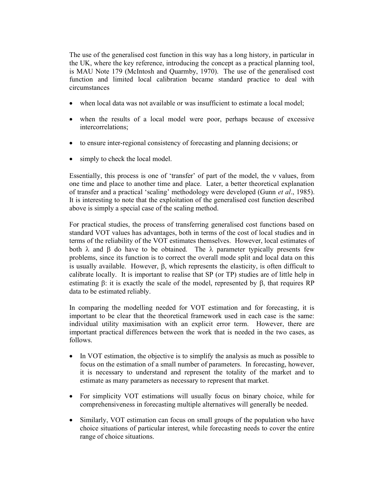The use of the generalised cost function in this way has a long history, in particular in the UK, where the key reference, introducing the concept as a practical planning tool, is MAU Note 179 (McIntosh and Quarmby, 1970). The use of the generalised cost function and limited local calibration became standard practice to deal with circumstances

- when local data was not available or was insufficient to estimate a local model;
- when the results of a local model were poor, perhaps because of excessive intercorrelations;
- to ensure inter-regional consistency of forecasting and planning decisions; or
- simply to check the local model.

Essentially, this process is one of 'transfer' of part of the model, the v values, from one time and place to another time and place. Later, a better theoretical explanation of transfer and a practical 'scaling' methodology were developed (Gunn et al., 1985). It is interesting to note that the exploitation of the generalised cost function described above is simply a special case of the scaling method.

For practical studies, the process of transferring generalised cost functions based on standard VOT values has advantages, both in terms of the cost of local studies and in terms of the reliability of the VOT estimates themselves. However, local estimates of both  $\lambda$  and  $\beta$  do have to be obtained. The  $\lambda$  parameter typically presents few problems, since its function is to correct the overall mode split and local data on this is usually available. However,  $\beta$ , which represents the elasticity, is often difficult to calibrate locally. It is important to realise that SP (or TP) studies are of little help in estimating  $\beta$ : it is exactly the scale of the model, represented by  $\beta$ , that requires RP data to be estimated reliably.

In comparing the modelling needed for VOT estimation and for forecasting, it is important to be clear that the theoretical framework used in each case is the same: individual utility maximisation with an explicit error term. However, there are important practical differences between the work that is needed in the two cases, as follows.

- In VOT estimation, the objective is to simplify the analysis as much as possible to focus on the estimation of a small number of parameters. In forecasting, however, it is necessary to understand and represent the totality of the market and to estimate as many parameters as necessary to represent that market.
- For simplicity VOT estimations will usually focus on binary choice, while for comprehensiveness in forecasting multiple alternatives will generally be needed.
- Similarly, VOT estimation can focus on small groups of the population who have choice situations of particular interest, while forecasting needs to cover the entire range of choice situations.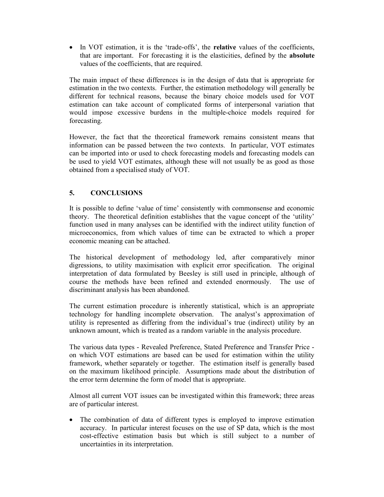• In VOT estimation, it is the 'trade-offs', the **relative** values of the coefficients, that are important. For forecasting it is the elasticities, defined by the absolute values of the coefficients, that are required.

The main impact of these differences is in the design of data that is appropriate for estimation in the two contexts. Further, the estimation methodology will generally be different for technical reasons, because the binary choice models used for VOT estimation can take account of complicated forms of interpersonal variation that would impose excessive burdens in the multiple-choice models required for forecasting.

However, the fact that the theoretical framework remains consistent means that information can be passed between the two contexts. In particular, VOT estimates can be imported into or used to check forecasting models and forecasting models can be used to yield VOT estimates, although these will not usually be as good as those obtained from a specialised study of VOT.

# 5. CONCLUSIONS

It is possible to define 'value of time' consistently with commonsense and economic theory. The theoretical definition establishes that the vague concept of the 'utility' function used in many analyses can be identified with the indirect utility function of microeconomics, from which values of time can be extracted to which a proper economic meaning can be attached.

The historical development of methodology led, after comparatively minor digressions, to utility maximisation with explicit error specification. The original interpretation of data formulated by Beesley is still used in principle, although of course the methods have been refined and extended enormously. The use of discriminant analysis has been abandoned.

The current estimation procedure is inherently statistical, which is an appropriate technology for handling incomplete observation. The analyst's approximation of utility is represented as differing from the individual's true (indirect) utility by an unknown amount, which is treated as a random variable in the analysis procedure.

The various data types - Revealed Preference, Stated Preference and Transfer Price on which VOT estimations are based can be used for estimation within the utility framework, whether separately or together. The estimation itself is generally based on the maximum likelihood principle. Assumptions made about the distribution of the error term determine the form of model that is appropriate.

Almost all current VOT issues can be investigated within this framework; three areas are of particular interest.

 The combination of data of different types is employed to improve estimation accuracy. In particular interest focuses on the use of SP data, which is the most cost-effective estimation basis but which is still subject to a number of uncertainties in its interpretation.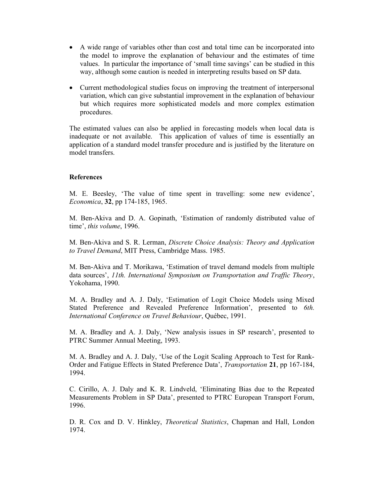- A wide range of variables other than cost and total time can be incorporated into the model to improve the explanation of behaviour and the estimates of time values. In particular the importance of 'small time savings' can be studied in this way, although some caution is needed in interpreting results based on SP data.
- Current methodological studies focus on improving the treatment of interpersonal variation, which can give substantial improvement in the explanation of behaviour but which requires more sophisticated models and more complex estimation procedures.

The estimated values can also be applied in forecasting models when local data is inadequate or not available. This application of values of time is essentially an application of a standard model transfer procedure and is justified by the literature on model transfers.

#### References

M. E. Beesley, 'The value of time spent in travelling: some new evidence', Economica, 32, pp 174-185, 1965.

M. Ben-Akiva and D. A. Gopinath, 'Estimation of randomly distributed value of time', this volume, 1996.

M. Ben-Akiva and S. R. Lerman, Discrete Choice Analysis: Theory and Application to Travel Demand, MIT Press, Cambridge Mass. 1985.

M. Ben-Akiva and T. Morikawa, 'Estimation of travel demand models from multiple data sources', 11th. International Symposium on Transportation and Traffic Theory, Yokohama, 1990.

M. A. Bradley and A. J. Daly, 'Estimation of Logit Choice Models using Mixed Stated Preference and Revealed Preference Information', presented to 6th. International Conference on Travel Behaviour, Québec, 1991.

M. A. Bradley and A. J. Daly, 'New analysis issues in SP research', presented to PTRC Summer Annual Meeting, 1993.

M. A. Bradley and A. J. Daly, 'Use of the Logit Scaling Approach to Test for Rank-Order and Fatigue Effects in Stated Preference Data', Transportation 21, pp 167-184, 1994.

C. Cirillo, A. J. Daly and K. R. Lindveld, 'Eliminating Bias due to the Repeated Measurements Problem in SP Data', presented to PTRC European Transport Forum, 1996.

D. R. Cox and D. V. Hinkley, Theoretical Statistics, Chapman and Hall, London 1974.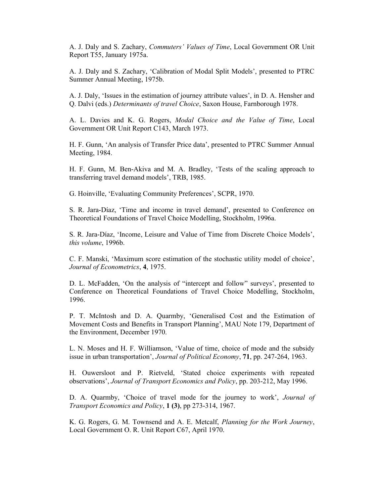A. J. Daly and S. Zachary, Commuters' Values of Time, Local Government OR Unit Report T55, January 1975a.

A. J. Daly and S. Zachary, 'Calibration of Modal Split Models', presented to PTRC Summer Annual Meeting, 1975b.

A. J. Daly, 'Issues in the estimation of journey attribute values', in D. A. Hensher and Q. Dalvi (eds.) Determinants of travel Choice, Saxon House, Farnborough 1978.

A. L. Davies and K. G. Rogers, Modal Choice and the Value of Time, Local Government OR Unit Report C143, March 1973.

H. F. Gunn, 'An analysis of Transfer Price data', presented to PTRC Summer Annual Meeting, 1984.

H. F. Gunn, M. Ben-Akiva and M. A. Bradley, 'Tests of the scaling approach to transferring travel demand models', TRB, 1985.

G. Hoinville, 'Evaluating Community Preferences', SCPR, 1970.

S. R. Jara-Díaz, 'Time and income in travel demand', presented to Conference on Theoretical Foundations of Travel Choice Modelling, Stockholm, 1996a.

S. R. Jara-Díaz, 'Income, Leisure and Value of Time from Discrete Choice Models', this volume, 1996b.

C. F. Manski, 'Maximum score estimation of the stochastic utility model of choice', Journal of Econometrics, 4, 1975.

D. L. McFadden, 'On the analysis of "intercept and follow" surveys', presented to Conference on Theoretical Foundations of Travel Choice Modelling, Stockholm, 1996.

P. T. McIntosh and D. A. Quarmby, 'Generalised Cost and the Estimation of Movement Costs and Benefits in Transport Planning', MAU Note 179, Department of the Environment, December 1970.

L. N. Moses and H. F. Williamson, 'Value of time, choice of mode and the subsidy issue in urban transportation', Journal of Political Economy, 71, pp. 247-264, 1963.

H. Ouwersloot and P. Rietveld, 'Stated choice experiments with repeated observations', Journal of Transport Economics and Policy, pp. 203-212, May 1996.

D. A. Quarmby, 'Choice of travel mode for the journey to work', Journal of Transport Economics and Policy, 1 (3), pp 273-314, 1967.

K. G. Rogers, G. M. Townsend and A. E. Metcalf, Planning for the Work Journey, Local Government O. R. Unit Report C67, April 1970.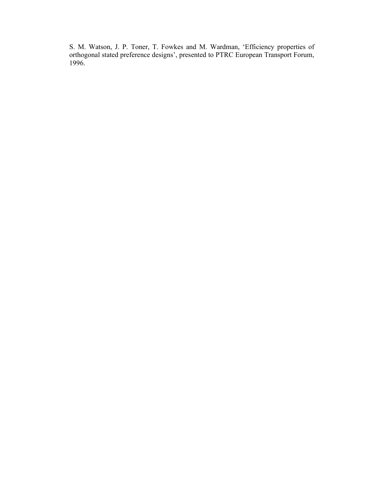S. M. Watson, J. P. Toner, T. Fowkes and M. Wardman, 'Efficiency properties of orthogonal stated preference designs', presented to PTRC European Transport Forum, 1996.